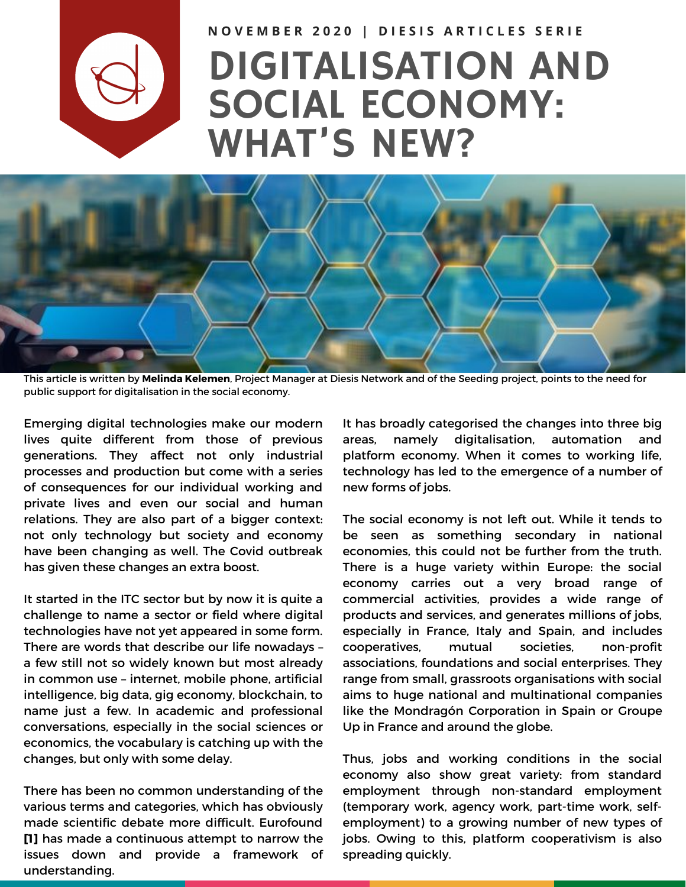

NOVEMBER 2020 | DIESIS ARTICLES SERIE

## DIGITALISATION AND SOCIAL ECONOMY: WHAT'S NEW?



This article is written by **Melinda [Kelemen](https://www.diesis.coop/team/melinda-kelemen/)**, Project Manager at Diesis Network and of the Seeding project, points to the need for public support for digitalisation in the social economy.

Emerging digital technologies make our modern lives quite different from those of previous generations. They affect not only industrial processes and production but come with a series of consequences for our individual working and private lives and even our social and human relations. They are also part of a bigger context: not only technology but society and economy have been changing as well. The Covid outbreak has given these changes an extra boost.

It started in the ITC sector but by now it is quite a challenge to name a sector or field where digital technologies have not yet appeared in some form. There are words that describe our life nowadays – a few still not so widely known but most already in common use – internet, mobile phone, artificial intelligence, big data, gig economy, blockchain, to name just a few. In academic and professional conversations, especially in the social sciences or economics, the vocabulary is catching up with the changes, but only with some delay.

There has been no common understanding of the various terms and categories, which has obviously made scientific debate more difficult. Eurofound **[1]** has made a continuous attempt to narrow the issues down and provide a framework of understanding.

It has broadly categorised the changes into three big areas, namely digitalisation, automation and platform economy. When it comes to working life, technology has led to the emergence of a number of new forms of jobs.

The social economy is not left out. While it tends to be seen as something secondary in national economies, this could not be further from the truth. There is a huge variety within Europe: the social economy carries out a very broad range of commercial activities, provides a wide range of products and services, and generates millions of jobs, especially in France, Italy and Spain, and includes cooperatives, mutual societies, non-profit associations, foundations and social enterprises. They range from small, grassroots organisations with social aims to huge national and multinational companies like the Mondragón Corporation in Spain or Groupe Up in France and around the globe.

Thus, jobs and working conditions in the social economy also show great variety: from standard employment through non-standard employment (temporary work, agency work, part-time work, selfemployment) to a growing number of new types of jobs. Owing to this, platform cooperativism is also spreading quickly.